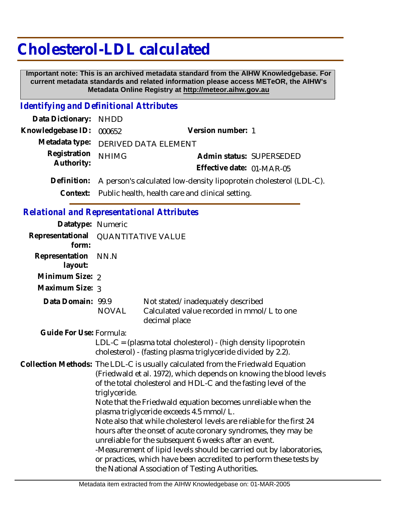# **Cholesterol-LDL calculated**

 **Important note: This is an archived metadata standard from the AIHW Knowledgebase. For current metadata standards and related information please access METeOR, the AIHW's Metadata Online Registry at http://meteor.aihw.gov.au**

### *Identifying and Definitional Attributes*

| Data Dictionary: NHDD      |                                                                    |                           |  |
|----------------------------|--------------------------------------------------------------------|---------------------------|--|
| Knowledgebase ID: 000652   |                                                                    | Version number: 1         |  |
|                            | Metadata type: DERIVED DATA ELEMENT                                |                           |  |
| Registration<br>Authority: | <b>NHIMG</b>                                                       | Admin status: SUPERSEDED  |  |
|                            |                                                                    | Effective date: 01-MAR-05 |  |
| Definition:                | A person's calculated low-density lipoprotein cholesterol (LDL-C). |                           |  |
|                            | Context: Public health, health care and clinical setting.          |                           |  |

#### *Relational and Representational Attributes*

| Datatype: Numeric         |                                                                                                                                                                                                                                                                                                                                                                                                                                                                                                                                                                                                                                                                                                                                                           |                                                                                                                                   |  |
|---------------------------|-----------------------------------------------------------------------------------------------------------------------------------------------------------------------------------------------------------------------------------------------------------------------------------------------------------------------------------------------------------------------------------------------------------------------------------------------------------------------------------------------------------------------------------------------------------------------------------------------------------------------------------------------------------------------------------------------------------------------------------------------------------|-----------------------------------------------------------------------------------------------------------------------------------|--|
| Representational<br>form: | <b>QUANTITATIVE VALUE</b>                                                                                                                                                                                                                                                                                                                                                                                                                                                                                                                                                                                                                                                                                                                                 |                                                                                                                                   |  |
| Representation<br>layout: | NN.N                                                                                                                                                                                                                                                                                                                                                                                                                                                                                                                                                                                                                                                                                                                                                      |                                                                                                                                   |  |
| Minimum Size: 2           |                                                                                                                                                                                                                                                                                                                                                                                                                                                                                                                                                                                                                                                                                                                                                           |                                                                                                                                   |  |
| Maximum Size: 3           |                                                                                                                                                                                                                                                                                                                                                                                                                                                                                                                                                                                                                                                                                                                                                           |                                                                                                                                   |  |
| Data Domain: 99.9         | <b>NOVAL</b>                                                                                                                                                                                                                                                                                                                                                                                                                                                                                                                                                                                                                                                                                                                                              | Not stated/inadequately described<br>Calculated value recorded in mmol/L to one<br>decimal place                                  |  |
| Guide For Use: Formula:   |                                                                                                                                                                                                                                                                                                                                                                                                                                                                                                                                                                                                                                                                                                                                                           | $LDL-C = (plasma total cholesterol) - (high density lipoprotein)$<br>cholesterol) - (fasting plasma triglyceride divided by 2.2). |  |
|                           | Collection Methods: The LDL-C is usually calculated from the Friedwald Equation<br>(Friedwald et al. 1972), which depends on knowing the blood levels<br>of the total cholesterol and HDL-C and the fasting level of the<br>triglyceride.<br>Note that the Friedwald equation becomes unreliable when the<br>plasma triglyceride exceeds 4.5 mmol/L.<br>Note also that while cholesterol levels are reliable for the first 24<br>hours after the onset of acute coronary syndromes, they may be<br>unreliable for the subsequent 6 weeks after an event.<br>-Measurement of lipid levels should be carried out by laboratories,<br>or practices, which have been accredited to perform these tests by<br>the National Association of Testing Authorities. |                                                                                                                                   |  |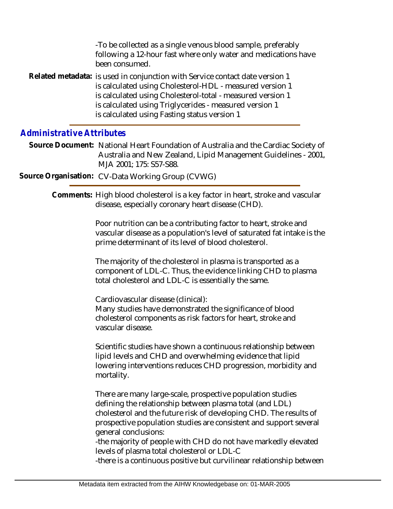| -To be collected as a single venous blood sample, preferably<br>following a 12-hour fast where only water and medications have<br>been consumed.                                                                                                                                                                 |
|------------------------------------------------------------------------------------------------------------------------------------------------------------------------------------------------------------------------------------------------------------------------------------------------------------------|
| Related metadata: is used in conjunction with Service contact date version 1<br>is calculated using Cholesterol-HDL - measured version 1<br>is calculated using Cholesterol-total - measured version 1<br>is calculated using Triglycerides - measured version 1<br>is calculated using Fasting status version 1 |

## *Administrative Attributes*

Source Document: National Heart Foundation of Australia and the Cardiac Society of Australia and New Zealand, Lipid Management Guidelines - 2001, MJA 2001; 175: S57-S88.

**Source Organisation:** CV-Data Working Group (CVWG)

Comments: High blood cholesterol is a key factor in heart, stroke and vascular disease, especially coronary heart disease (CHD).

> Poor nutrition can be a contributing factor to heart, stroke and vascular disease as a population's level of saturated fat intake is the prime determinant of its level of blood cholesterol.

The majority of the cholesterol in plasma is transported as a component of LDL-C. Thus, the evidence linking CHD to plasma total cholesterol and LDL-C is essentially the same.

Cardiovascular disease (clinical): Many studies have demonstrated the significance of blood cholesterol components as risk factors for heart, stroke and vascular disease.

Scientific studies have shown a continuous relationship between lipid levels and CHD and overwhelming evidence that lipid lowering interventions reduces CHD progression, morbidity and mortality.

There are many large-scale, prospective population studies defining the relationship between plasma total (and LDL) cholesterol and the future risk of developing CHD. The results of prospective population studies are consistent and support several general conclusions:

-the majority of people with CHD do not have markedly elevated levels of plasma total cholesterol or LDL-C

-there is a continuous positive but curvilinear relationship between